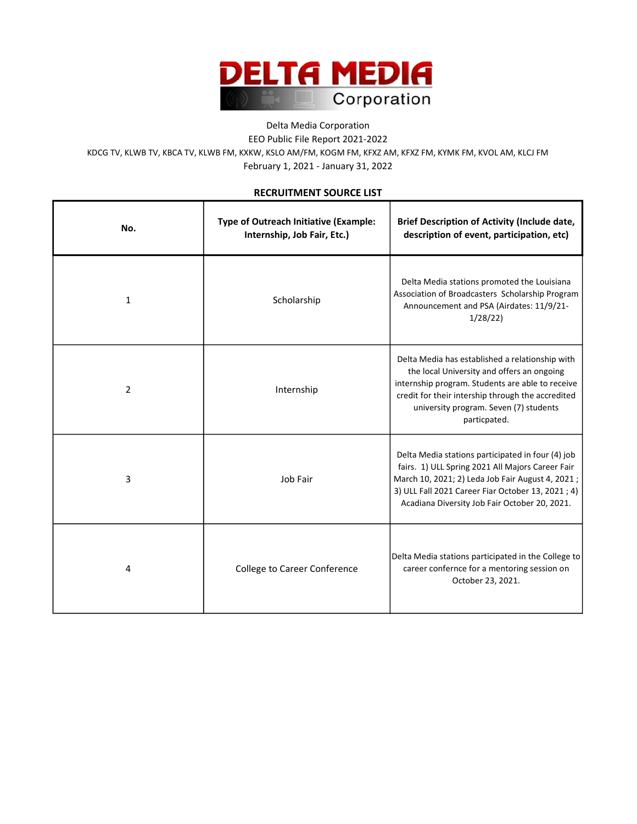

## Delta Media Corporation EEO Public File Report 2021-2022 February 1, 2021 - January 31, 2022 KDCG TV, KLWB TV, KBCA TV, KLWB FM, KXKW, KSLO AM/FM, KOGM FM, KFXZ AM, KFXZ FM, KYMK FM, KVOL AM, KLCJ FM

## RECRUITMENT SOURCE LIST

| No.            | Type of Outreach Initiative (Example:<br>Internship, Job Fair, Etc.) | <b>Brief Description of Activity (Include date,</b><br>description of event, participation, etc)                                                                                                                                                                 |
|----------------|----------------------------------------------------------------------|------------------------------------------------------------------------------------------------------------------------------------------------------------------------------------------------------------------------------------------------------------------|
| $\mathbf{1}$   | Scholarship                                                          | Delta Media stations promoted the Louisiana<br>Association of Broadcasters Scholarship Program<br>Announcement and PSA (Airdates: 11/9/21-<br>1/28/22                                                                                                            |
| $\overline{2}$ | Internship                                                           | Delta Media has established a relationship with<br>the local University and offers an ongoing<br>internship program. Students are able to receive<br>credit for their intership through the accredited<br>university program. Seven (7) students<br>particpated. |
| 3              | Job Fair                                                             | Delta Media stations participated in four (4) job<br>fairs. 1) ULL Spring 2021 All Majors Career Fair<br>March 10, 2021; 2) Leda Job Fair August 4, 2021;<br>3) ULL Fall 2021 Career Fiar October 13, 2021; 4)<br>Acadiana Diversity Job Fair October 20, 2021.  |
| 4              | College to Career Conference                                         | Delta Media stations participated in the College to<br>career confernce for a mentoring session on<br>October 23, 2021.                                                                                                                                          |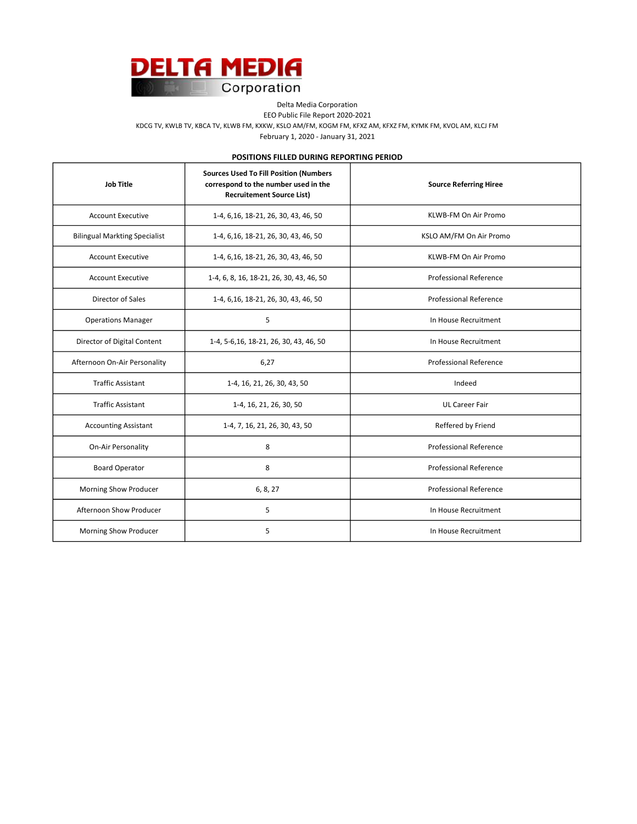

Delta Media Corporation

EEO Public File Report 2020-2021

KDCG TV, KWLB TV, KBCA TV, KLWB FM, KXKW, KSLO AM/FM, KOGM FM, KFXZ AM, KFXZ FM, KYMK FM, KVOL AM, KLCJ FM

February 1, 2020 - January 31, 2021

POSITIONS FILLED DURING REPORTING PERIOD

| <b>Job Title</b>                     | <b>Sources Used To Fill Position (Numbers</b><br>correspond to the number used in the<br><b>Recruitement Source List)</b> | <b>Source Referring Hiree</b> |
|--------------------------------------|---------------------------------------------------------------------------------------------------------------------------|-------------------------------|
| <b>Account Executive</b>             | 1-4, 6, 16, 18-21, 26, 30, 43, 46, 50                                                                                     | KLWB-FM On Air Promo          |
| <b>Bilingual Markting Specialist</b> | 1-4, 6, 16, 18-21, 26, 30, 43, 46, 50                                                                                     | KSLO AM/FM On Air Promo       |
| <b>Account Executive</b>             | 1-4, 6, 16, 18-21, 26, 30, 43, 46, 50                                                                                     | KLWB-FM On Air Promo          |
| <b>Account Executive</b>             | 1-4, 6, 8, 16, 18-21, 26, 30, 43, 46, 50                                                                                  | <b>Professional Reference</b> |
| Director of Sales                    | 1-4, 6, 16, 18-21, 26, 30, 43, 46, 50                                                                                     | <b>Professional Reference</b> |
| <b>Operations Manager</b>            | 5                                                                                                                         | In House Recruitment          |
| Director of Digital Content          | 1-4, 5-6, 16, 18-21, 26, 30, 43, 46, 50                                                                                   | In House Recruitment          |
| Afternoon On-Air Personality         | 6,27                                                                                                                      | <b>Professional Reference</b> |
| <b>Traffic Assistant</b>             | 1-4, 16, 21, 26, 30, 43, 50                                                                                               | Indeed                        |
| <b>Traffic Assistant</b>             | 1-4, 16, 21, 26, 30, 50                                                                                                   | <b>UL Career Fair</b>         |
| <b>Accounting Assistant</b>          | 1-4, 7, 16, 21, 26, 30, 43, 50                                                                                            | Reffered by Friend            |
| On-Air Personality                   | 8                                                                                                                         | Professional Reference        |
| <b>Board Operator</b>                | 8                                                                                                                         | <b>Professional Reference</b> |
| Morning Show Producer                | 6, 8, 27                                                                                                                  | <b>Professional Reference</b> |
| Afternoon Show Producer              | 5                                                                                                                         | In House Recruitment          |
| Morning Show Producer                | 5                                                                                                                         | In House Recruitment          |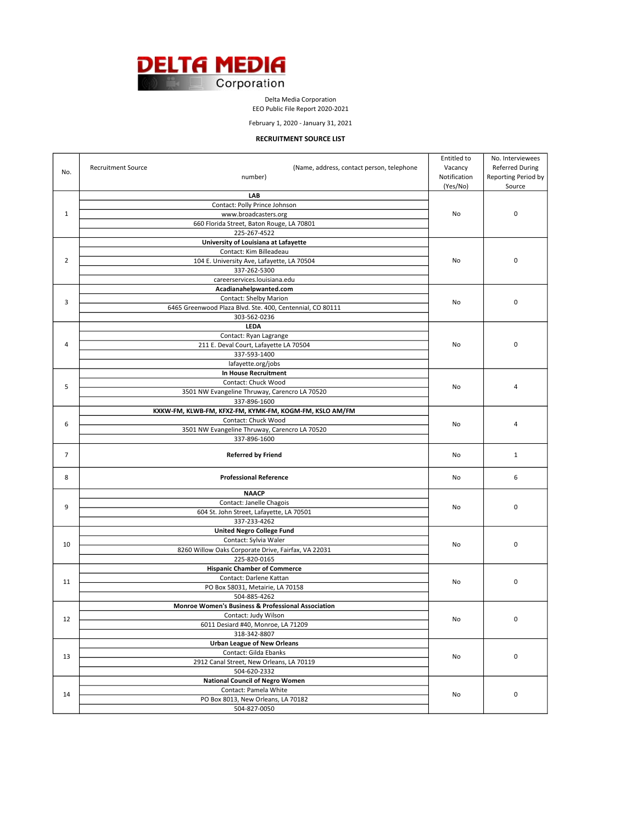

Delta Media Corporation

EEO Public File Report 2020-2021

February 1, 2020 - January 31, 2021

## RECRUITMENT SOURCE LIST

|                |                                                                        | Entitled to  | No. Interviewees       |
|----------------|------------------------------------------------------------------------|--------------|------------------------|
| No.            | <b>Recruitment Source</b><br>(Name, address, contact person, telephone | Vacancy      | <b>Referred During</b> |
|                | number)                                                                | Notification | Reporting Period by    |
|                |                                                                        | (Yes/No)     | Source                 |
|                | LAB                                                                    |              |                        |
|                | Contact: Polly Prince Johnson                                          |              |                        |
| 1              | www.broadcasters.org                                                   | No           | 0                      |
|                | 660 Florida Street, Baton Rouge, LA 70801                              |              |                        |
|                | 225-267-4522                                                           |              |                        |
| $\overline{2}$ | University of Louisiana at Lafayette                                   |              |                        |
|                | Contact: Kim Billeadeau                                                |              |                        |
|                | 104 E. University Ave, Lafayette, LA 70504                             | No           | $\pmb{0}$              |
|                | 337-262-5300                                                           |              |                        |
|                | careerservices.louisiana.edu                                           |              |                        |
|                | Acadianahelpwanted.com                                                 |              |                        |
| 3              | <b>Contact: Shelby Marion</b>                                          | No           | 0                      |
|                | 6465 Greenwood Plaza Blvd. Ste. 400, Centennial, CO 80111              |              |                        |
|                | 303-562-0236                                                           |              |                        |
|                | LEDA                                                                   |              |                        |
|                | Contact: Ryan Lagrange                                                 |              |                        |
| 4              | 211 E. Deval Court, Lafayette LA 70504                                 | No           | 0                      |
|                | 337-593-1400                                                           |              |                        |
|                | lafayette.org/jobs                                                     |              |                        |
|                | <b>In House Recruitment</b>                                            |              |                        |
| 5              | Contact: Chuck Wood                                                    | No           | 4                      |
|                | 3501 NW Evangeline Thruway, Carencro LA 70520                          |              |                        |
|                | 337-896-1600                                                           |              |                        |
|                | KXKW-FM, KLWB-FM, KFXZ-FM, KYMK-FM, KOGM-FM, KSLO AM/FM                |              |                        |
| 6              | Contact: Chuck Wood                                                    | No           | 4                      |
|                | 3501 NW Evangeline Thruway, Carencro LA 70520                          |              |                        |
|                | 337-896-1600                                                           |              |                        |
| $\overline{7}$ | <b>Referred by Friend</b>                                              | No           | $\mathbf{1}$           |
| 8              | <b>Professional Reference</b>                                          | No           | 6                      |
|                | <b>NAACP</b>                                                           |              |                        |
| 9              | Contact: Janelle Chagois                                               | No           | 0                      |
|                | 604 St. John Street, Lafayette, LA 70501                               |              |                        |
|                | 337-233-4262                                                           |              |                        |
|                | <b>United Negro College Fund</b>                                       |              |                        |
| 10             | Contact: Sylvia Waler                                                  | No           | 0                      |
|                | 8260 Willow Oaks Corporate Drive, Fairfax, VA 22031                    |              |                        |
|                | 225-820-0165                                                           |              |                        |
|                | <b>Hispanic Chamber of Commerce</b>                                    |              |                        |
| 11             | Contact: Darlene Kattan                                                | No           | 0                      |
|                | PO Box 58031, Metairie, LA 70158                                       |              |                        |
|                | 504-885-4262                                                           |              |                        |
|                | Monroe Women's Business & Professional Association                     |              |                        |
| 12             | Contact: Judy Wilson                                                   | No           | 0                      |
|                | 6011 Desiard #40, Monroe, LA 71209                                     |              |                        |
|                | 318-342-8807                                                           |              |                        |
|                | <b>Urban League of New Orleans</b>                                     |              |                        |
| 13             | Contact: Gilda Ebanks                                                  | No           | 0                      |
|                | 2912 Canal Street, New Orleans, LA 70119                               |              |                        |
|                | 504-620-2332                                                           |              |                        |
| 14             | <b>National Council of Negro Women</b>                                 |              |                        |
|                | Contact: Pamela White                                                  | No           | 0                      |
|                | PO Box 8013, New Orleans, LA 70182                                     |              |                        |
|                | 504-827-0050                                                           |              |                        |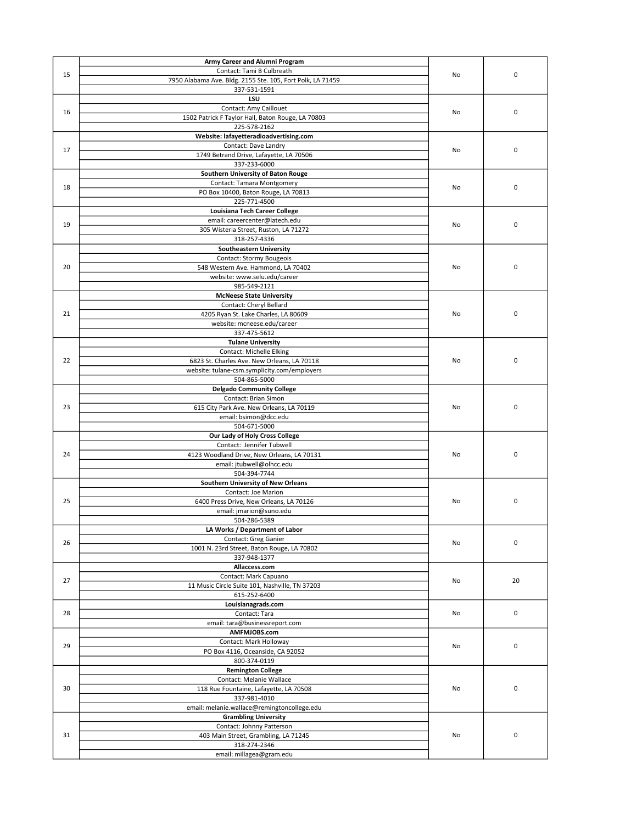|    | Army Career and Alumni Program                                                              |    |             |
|----|---------------------------------------------------------------------------------------------|----|-------------|
| 15 | Contact: Tami B Culbreath                                                                   | No | $\mathbf 0$ |
|    | 7950 Alabama Ave. Bldg. 2155 Ste. 105, Fort Polk, LA 71459                                  |    |             |
|    | 337-531-1591                                                                                |    |             |
|    | LSU<br><b>Contact: Amy Caillouet</b>                                                        |    |             |
| 16 | 1502 Patrick F Taylor Hall, Baton Rouge, LA 70803                                           | No | $\mathbf 0$ |
|    | 225-578-2162                                                                                |    |             |
|    | Website: lafayetteradioadvertising.com                                                      |    |             |
|    | Contact: Dave Landry                                                                        |    |             |
| 17 | 1749 Betrand Drive, Lafayette, LA 70506                                                     | No | $\mathsf 0$ |
|    | 337-233-6000                                                                                |    |             |
|    | Southern University of Baton Rouge                                                          |    |             |
| 18 | Contact: Tamara Montgomery                                                                  | No | $\mathsf 0$ |
|    | PO Box 10400, Baton Rouge, LA 70813                                                         |    |             |
|    | 225-771-4500                                                                                |    |             |
|    | Louisiana Tech Career College                                                               |    |             |
| 19 | email: careercenter@latech.edu<br>305 Wisteria Street, Ruston, LA 71272                     | No | $\mathsf 0$ |
|    | 318-257-4336                                                                                |    |             |
|    | <b>Southeastern University</b>                                                              |    |             |
|    | Contact: Stormy Bougeois                                                                    |    |             |
| 20 | 548 Western Ave. Hammond, LA 70402                                                          | No | $\mathsf 0$ |
|    | website: www.selu.edu/career                                                                |    |             |
|    | 985-549-2121                                                                                |    |             |
|    | <b>McNeese State University</b>                                                             |    |             |
|    | Contact: Cheryl Bellard                                                                     |    |             |
| 21 | 4205 Ryan St. Lake Charles, LA 80609                                                        | No | $\mathsf 0$ |
|    | website: mcneese.edu/career                                                                 |    |             |
|    | 337-475-5612                                                                                |    |             |
|    | <b>Tulane University</b>                                                                    |    |             |
| 22 | <b>Contact: Michelle Elking</b>                                                             | No | $\mathsf 0$ |
|    | 6823 St. Charles Ave. New Orleans, LA 70118<br>website: tulane-csm.symplicity.com/employers |    |             |
|    | 504-865-5000                                                                                |    |             |
|    | <b>Delgado Community College</b>                                                            |    |             |
|    | Contact: Brian Simon                                                                        |    |             |
| 23 | 615 City Park Ave. New Orleans, LA 70119                                                    | No | 0           |
|    | email: bsimon@dcc.edu                                                                       |    |             |
|    | 504-671-5000                                                                                |    |             |
|    | Our Lady of Holy Cross College                                                              |    |             |
|    | Contact: Jennifer Tubwell                                                                   |    |             |
| 24 | 4123 Woodland Drive, New Orleans, LA 70131                                                  | No | 0           |
|    | email: jtubwell@olhcc.edu                                                                   |    |             |
|    | 504-394-7744<br>Southern University of New Orleans                                          |    |             |
|    | Contact: Joe Marion                                                                         |    |             |
| 25 | 6400 Press Drive, New Orleans, LA 70126                                                     | No | $\mathsf 0$ |
|    | email: jmarion@suno.edu                                                                     |    |             |
|    | 504-286-5389                                                                                |    |             |
|    | LA Works / Department of Labor                                                              |    |             |
| 26 | Contact: Greg Ganier                                                                        | No | 0           |
|    | 1001 N. 23rd Street, Baton Rouge, LA 70802                                                  |    |             |
|    | 337-948-1377                                                                                |    |             |
|    | Allaccess.com                                                                               |    |             |
| 27 | Contact: Mark Capuano                                                                       | No | 20          |
|    | 11 Music Circle Suite 101, Nashville, TN 37203                                              |    |             |
|    | 615-252-6400                                                                                |    |             |
| 28 | Louisianagrads.com                                                                          | No | $\mathsf 0$ |
|    | Contact: Tara<br>email: tara@businessreport.com                                             |    |             |
|    | AMFMJOBS.com                                                                                |    |             |
|    | Contact: Mark Holloway                                                                      |    |             |
| 29 | PO Box 4116, Oceanside, CA 92052                                                            | No | $\mathsf 0$ |
|    | 800-374-0119                                                                                |    |             |
|    | <b>Remington College</b>                                                                    |    |             |
|    | Contact: Melanie Wallace                                                                    |    |             |
| 30 | 118 Rue Fountaine, Lafayette, LA 70508                                                      | No | $\mathsf 0$ |
|    | 337-981-4010                                                                                |    |             |
|    | email: melanie.wallace@remingtoncollege.edu                                                 |    |             |
|    | <b>Grambling University</b>                                                                 |    |             |
| 31 | Contact: Johnny Patterson                                                                   |    |             |
|    | 403 Main Street, Grambling, LA 71245                                                        | No | $\mathsf 0$ |
|    | 318-274-2346                                                                                |    |             |
|    | email: millagea@gram.edu                                                                    |    |             |